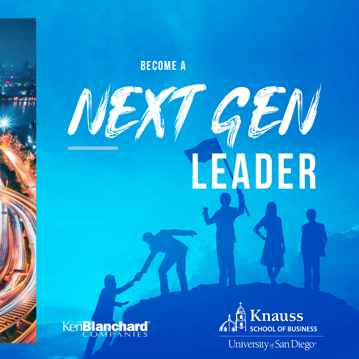BECOME A

# NEXT GEN LEADER





University of San Diego\*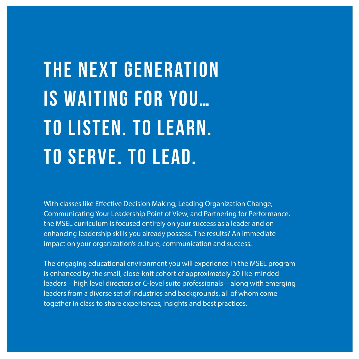## The next generation is waiting for you… To listen. To learn. To serve. To lead.

With classes like Effective Decision Making, Leading Organization Change, Communicating Your Leadership Point of View, and Partnering for Performance, the MSEL curriculum is focused entirely on your success as a leader and on enhancing leadership skills you already possess. The results? An immediate impact on your organization's culture, communication and success.

The engaging educational environment you will experience in the MSEL program is enhanced by the small, close-knit cohort of approximately 20 like-minded leaders—high level directors or C-level suite professionals—along with emerging leaders from a diverse set of industries and backgrounds, all of whom come together in class to share experiences, insights and best practices.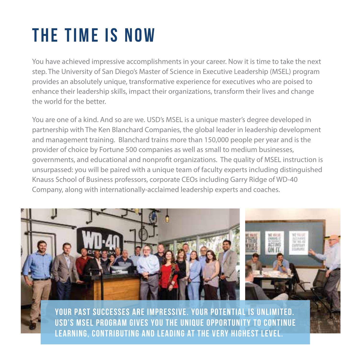## The time is now

You have achieved impressive accomplishments in your career. Now it is time to take the next step. The University of San Diego's Master of Science in Executive Leadership (MSEL) program provides an absolutely unique, transformative experience for executives who are poised to enhance their leadership skills, impact their organizations, transform their lives and change the world for the better.

You are one of a kind. And so are we. USD's MSEL is a unique master's degree developed in partnership with The Ken Blanchard Companies, the global leader in leadership development and management training. Blanchard trains more than 150,000 people per year and is the provider of choice by Fortune 500 companies as well as small to medium businesses, governments, and educational and nonprofit organizations. The quality of MSEL instruction is unsurpassed: you will be paired with a unique team of faculty experts including distinguished Knauss School of Business professors, corporate CEOs including Garry Ridge of WD-40 Company, along with internationally-acclaimed leadership experts and coaches.



learning, contributing and leading at the very highest level.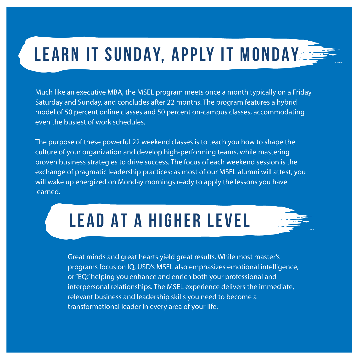### LEARN IT SUNDAY, APPLY IT MONDAY

Much like an executive MBA, the MSEL program meets once a month typically on a Friday Saturday and Sunday, and concludes after 22 months. The program features a hybrid model of 50 percent online classes and 50 percent on-campus classes, accommodating even the busiest of work schedules.

The purpose of these powerful 22 weekend classes is to teach you how to shape the culture of your organization and develop high-performing teams, while mastering proven business strategies to drive success. The focus of each weekend session is the exchange of pragmatic leadership practices: as most of our MSEL alumni will attest, you will wake up energized on Monday mornings ready to apply the lessons you have learned.

### LEAD AT A HIGHER LEVEL



Great minds and great hearts yield great results. While most master's programs focus on IQ, USD's MSEL also emphasizes emotional intelligence, or "EQ," helping you enhance and enrich both your professional and interpersonal relationships. The MSEL experience delivers the immediate, relevant business and leadership skills you need to become a transformational leader in every area of your life.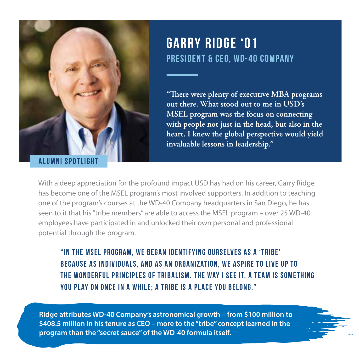

**ALUMNI SPOTLIG** 

#### Garry Ridge '01 President & CEO, WD-40 Company

"There were plenty of executive MBA programs **out there. What stood out to me in USD's MSEL program was the focus on connecting with people not just in the head, but also in the heart. I knew the global perspective would yield invaluable lessons in leadership."**

With a deep appreciation for the profound impact USD has had on his career, Garry Ridge has become one of the MSEL program's most involved supporters. In addition to teaching one of the program's courses at the WD-40 Company headquarters in San Diego, he has seen to it that his "tribe members" are able to access the MSEL program – over 25 WD-40 employees have participated in and unlocked their own personal and professional potential through the program.

"In the MSEL program, we began identifying ourselves as a 'tribe' because as individuals, and as an organization, we aspire to live up to the wonderful principles of tribalism. The way I see it, a team is something you play on once in a while; a tribe is a place you belong."

**Ridge attributes WD-40 Company's astronomical growth – from \$100 million to \$408.5 million in his tenure as CEO – more to the "tribe" concept learned in the program than the "secret sauce" of the WD-40 formula itself.**